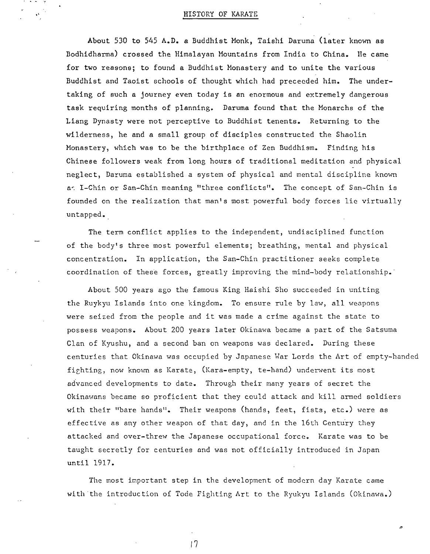# .' HISTORY OF KARATE

About 530 to 545 A.D. a Buddhist Monk, Taishi Daruma (later known as Bodhidharma) crossed the Himalayan Mountains from India to China. He came for two reasons; to found a Buddhist Monastery and to unite the various Buddhist and Taoist schools of thought which had prececded him. The undertaking of such a journey even today is an enormous and extremely dangerous task requiring months of planning. Daruma found that the Monarchs of the Liang Dynasty were not perceptive to Buddhist tenents. Returning to the wilderness, he and a small group of disciples constructed the Shaolin Monastery, which was to be the birthplace of Zen Buddhism. Finding his Chinese followers weak from long hours of traditional meditation and physical neglect, Daruma established a system of physical and mental discipline known a. I-Chin or San-Chin meaning "three conflicts". The concept of San-Chin is founded on the realization that man's most powerful body forces lie virtually untapped.

The term conflict applies to the independent, undisciplined function of the body's three most powerful elements; breathing, mental and physical concentration. In application, the San-Chin practitioner seeks complete coordination of these forces, greatly improving the mind-body relationship.'

About 500 years ago the famous King Haishi Sho succeeded in uniting the Ruykyu Islands into one kingdom. To ensure rule by law, all weapons 'were seized from the people and it was made <sup>a</sup> crime against the state to possess weapons. About 200 years later Okinawa became a part of the Satsuma Clan of Kyushu, and a second ban on weapons was declared. During these centuries that Okinawa was occupied by Japanese War Lords the Art of empty-handed fighting, now known as Karate, (Kara-empty, te-hand) underwent its most advanced developments to date. Through their many years of secret the Okinawans became so proficient that they could attack and kill armed soldiers with their "bare hands". Their weapons (hands, feet, fists, etc.) were as effective as any other weapon of that day, and in the 16th Century they attacked and over-threw the Japanese occupational force. Karate was to be taught secretly for centuries and was not officially introduced in Japan until 1917.

The most important step in the development of modern day Karate came with the introduction of Tode Fighting Art to the Ryukyu Islands (Okinawa.)

 $\boldsymbol{c}$ 

 $17$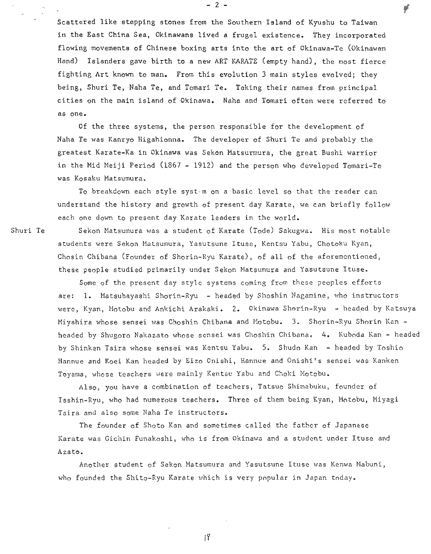¥

Scattered like stepping stones from the Southern Island of Kyushu to Taiwan in the East China Sea, Okinawans lived a frugel existence. They incorporated flowing movements of Chinese boxing arts into the art of Okinawa-Te (Okinawan Hand) Islanders gave birth to a new ART KARATE (empty hand), the most fierce fighting Art known to man. From this evolution 3 main styles evolved; they being, Shuri Te, Naha Te, and Tomari Te. Taking their names from principal cities on the main island of Okinawa. Naha and Tomari often were referred to as one.

Of the three systems, the person responsible for the development of Naha Te was Kanryo Higahionna. The developer of Shuri Te and probably the greatest Karate-Ka in Okinawa was Sekon Matsurmura, the great Bushi warrior in the Mid Meiji Period (1867 - 1912) and the person who developed Tomari-Te was Kosaku Matsumura.

To breakdown each style syst-m on a basic level so that the reader can understand the history and growth of present day Karate, we can briefly follow each one down to present day Karate leaders in the world.

Shuri Te

Sekon Matsumura was a student of Karate (Tode) Sakugwa. His most notable students were Sekon Matsumura, Yasutsune Ituse, Kentsu Yabu, Chotoku Kyan, Chosin Chibana (Founder of Shorin-Ryu Karate), of all of the aforementioned, these people studied primarily under Sekon Hatsumura and Yasutsune Ituse.

Some of the present day style systems coming from these peoples efforts are: 1. Matsubayashi Shorin-Ryu - headed by Shoshin Nagamine, who instructors were, Kyan, Motobu and Ankichi Arakaki. 2. Okinawa Shorin-Ryu - headed by Katsuya Miyahira whose sensei was Choshin Chibana and Motobu. 3. Shorin-Ryu Shorin Kan headed by Shugoro Nakazato whose sensei was Choshin Chibana. 4. Kuboda Kan - headed by Shinken Taira whose sensei was Kentsu Yabu. 5. Shudo Kan - headed by Toshio Hannue and Koei Kan headed by Eizo Onishi, Hannue and Onishi's sensei was Kanken Toyama, whose teachers were mainly Kentsu Yabu and Choki Motobu.

Also, you have a combination of teachers, Tatsuo Shimabuku, founder of Isshin-Ryu, who had numerous teachers. Three of them being Kyan, Motobu, Miyagi Taira and also some Naha Te instructors.

The founder of Shoto Kan and sometimes called the father of Japanese Karate was Gichin Funakoshi, who is from Okinawa and a student under Ituse and Azato.

Another student of Sekon Matsumura and Yasutsune Ituse was Kenwa Mabuni, who founded the Shito-Ryu Karate which is very popular in Japan today.

 $|9\rangle$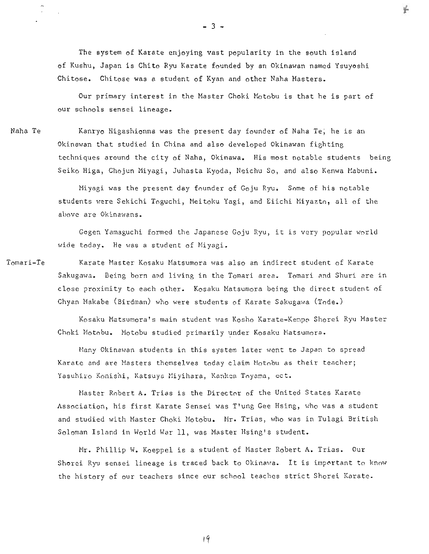The system of Karate enjoying vast popularity in the south island of Kushu, Japan is Chito Ryu Karate founded by an Okinawan named Ysuyoshi Chitose. Chitose was a student of Kyan and other Naha Masters.

Our primary interest in the Master Choki Motobu is that he is part of our schools sensei lineage.

Naha Te Kanryo Higashionna was the present day founder of Naha Te; he is an Okinawan that studied in China and also developed Okinawan fighting techniques around the city of Naha, Okinawa. His most notable students being Seiko Riga, Chojun Miyagi, Juhasta Kyoda, Neichu So, and also Kenwa Mabuni.

> Miyagi was the present day founder of Goju Ryu. Some of his notable students were Sekichi Toguchi, Meitoku Yagi, and Eiichi Miyazto, all of the above are Okinawans.

> Gogen Yamaguchi formed the Japanese Goju Ryu, it is very popular world wide today. He was a student of Miyagi.

Tomari-Te Karate Master Kosaku Matsumora was also an indirect student of Karate Sakugawa. Being born and living in the Tomari area. Tomari and Shuri are in close proximity to each other. Kosaku Matsumora being the direct student of Chyan Makabe (Birdman) who were students of Karate Sakugawa (Tode.)

> Kosaku Matsumora's main student was Kosho Karate-Kempo Shorei Ryu Master Choki Motobu. Motobu studied primarily under Kosaku Matsumora.

Hany Okinawan students in this system later went to Japan to spread Karate and are Masters themselves today claim Motobu as their teacher; Yasuhiro Konishi, Katsuya Miyihara, Kanken Toyama, ect.

Master Robert A. Trias is the Director of the United States Karate Association, his first Karate Sensei was T'ung Gee Hsing, who was a student and studied with Master Choki Motobu. Nr. Trias, who was in Tulagi British Soloman Island in World War 11, was Master Hsing's student.

Mr. Phillip W. Koeppel is a student of Master Robert A. Trias. Our Shorei Ryu sensei lineage is traced back to Okinawa. It is important to know the history of our teachers since our school teaches strict Shorei Karate.

 $19$ 

 $- 3 -$ 

4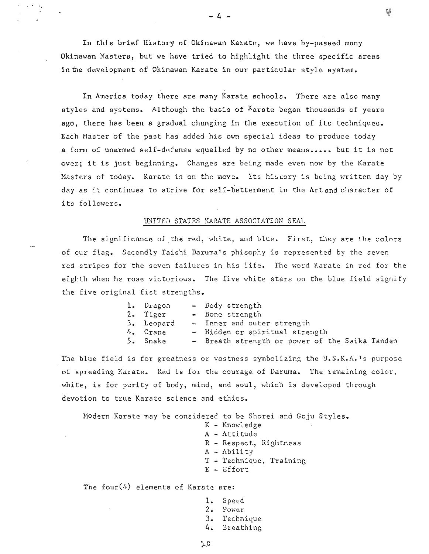In this brief History of Okinawan Karate, we have by-passed many Okinawan Masters, but we have tried to highlight the three specific areas in the development of Okinawan Karate in our particular style system.

. . .

In America today there are many Karate schools. There are also many styles and systems. Although the basis of <sup>K</sup>arate began thousands of years ago, there has been <sup>a</sup> gradual changing in the execution of its techniques. Each Haster of the past has added his own special ideas to produce today <sup>a</sup> form of unarmed self-defense equalled by no other means••••• but it is not over; it is just beginning. Changes are being made even now by the Karate Masters of today. Karate is on the move. Its history is being written day by day as it continues to strive for self-betterment in the Art and character of its followers.

## UNITED STATES KARATE ASSOCIATION SEAL

The significance of the red, white, and blue. First, they are the colors of our flag. Secondly Taishi Daruma1s phisophy is represented by the seven red stripes for the seven failures in his life. The word Karate in red for the eighth when he rose victorious. The five white stars on the blue field signify the five original fist strengths.

| 1. Dragon  | - Body strength                                |
|------------|------------------------------------------------|
| 2. Tiger   | - Bone strength                                |
| 3. Leopard | - Inner and outer strength                     |
| 4. Crane   | - Hidden or spiritual strength                 |
| 5. Snake   | - Breath strength or power of the Saika Tanden |

The blue field is for greatness or vastness symbolizing the  $U.S.K.A.*s$  purpose of spreading Karate. Red is for the courage of Daruma. The remaining color, white, is for purity of body, mind, and soul, which is developed through devotion to true Karate science and ethics.

Modern Karate may be considered to be Shorei and Goju Styles.

K - Knowledge A - Attitude R - Respect, Rightness A - Ability T - Technique, Training E - Effort

The four(4) elements of Karate are:

- 1. Speed 2. Power
- 3. Technique
- 4. Breathing

V

- 4 -

 $\mathbf{r} \neq \mathbf{r}_\mathbf{k}$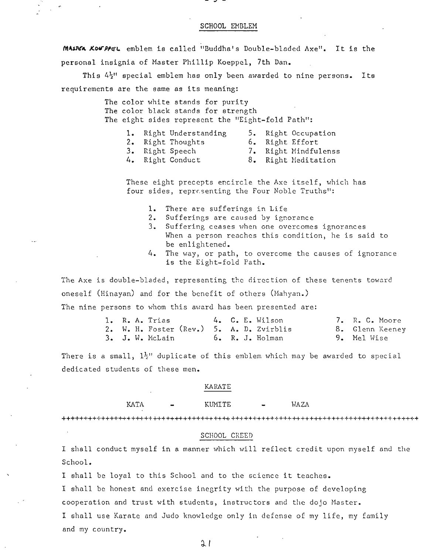### SCHOOL EMBLEM

MASKA KONFPEL emblem is called "Buddha's Double-bladed Axe". It is the personal insignia of Master Phillip Koeppel, 7th Dan.

This  $4\frac{1}{2}$ <sup>1</sup> special emblem has only been awarded to nine persons. Its requirements are the same as its meaning:

> The color white stands for purity The color black stands for strength The eight sides represent the "Eight-fold Path":

|  | 1. Right Understanding |  | 5. Right Occupation  |
|--|------------------------|--|----------------------|
|  | 2. Right Thoughts      |  | 6. Right Effort      |
|  | 3. Right Speech        |  | 7. Right Mindfulenss |
|  | 4. Right Conduct       |  | 8. Right Meditation  |

These eight precepts encircle the Axe itself, which has four sides, representing the Four Noble Truths":

- 1. There are sufferings in Life
- 2. Sufferings are caused by ignorance
- 3. Suffering ceases when one overcomes ignorances When a person reaches this condition, he is said to be enlightened.
- 4. The way, or path, to overcome the causes of ignorance is the Eight-fold Path.

The Axe is double-bladed, representing the direction of these tenents toward oneself (Hinayan) and for the benefit of others (Mahyan.) The nine persons to whom this award has been presented are:

|  | 1. R. A. Trias                           |  | 4. C. E. Wilson | 7. R. C. Moore  |
|--|------------------------------------------|--|-----------------|-----------------|
|  | 2. W. H. Foster (Rev.) 5. A. D. Zvirblis |  |                 | 8. Glenn Keeney |
|  | 3. J. W. McLain                          |  | 6. R. J. Holman | 9. Mel Wise     |

There is a small,  $1\frac{1}{2}$ " duplicate of this emblem which may be awarded to special dedicated students of these men.

#### KARATE

KATA – KUMITE – WAZA

++++++++++++++++++++++++++++++++++++++++++++++++++++++++++++++++++++++++++++++++++

#### SCHOOL CREED

I shall conduct myself in a manner which will reflect credit upon myself and the School.

<sup>I</sup> shall be loyal to this School and to the science it teaches.

I shall be honest and exercise inegrity with the purpose of developing

cooperation nnd trust with students, instructors and the dojo Master.

I shall use Karate and Judo knowledge only in defense of my life, my family and my country.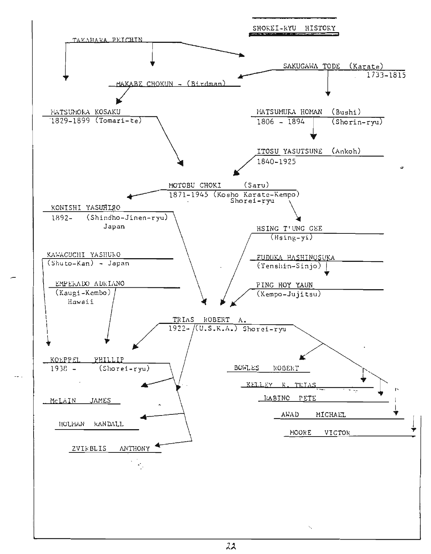

 $22$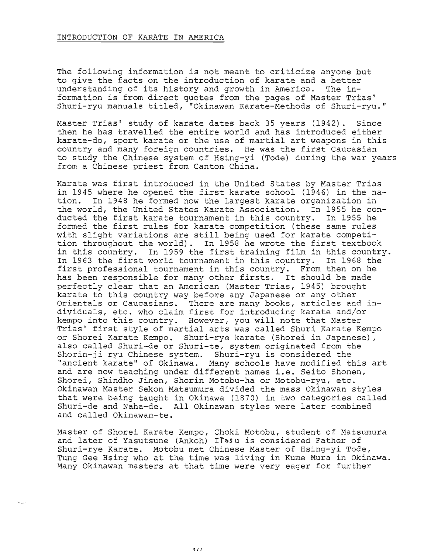### INTRODUCTION OF KARATE IN AMERICA

The following information is not meant to criticize anyone but to give the facts on the introduction of karate and a better<br>understanding of its history and growth in America. The inunderstanding of its history and growth in America. formation is from direct quotes from the pages of Master Trias' Shuri-ryu manuals titled, "Okinawan Karate-Methods of Shuri-ryu."

Master Trias' study of karate dates back 35 years (1942). Since then he has travelled the entire world and has introduced either karate-do, sport karate or the use of martial art weapons in this country and many foreign countries. He was the first Caucasian to study the Chinese system of Hsing-yi (Tode) during the war years from <sup>a</sup> Chinese priest from Canton China.

Karate was first introduced in the united States by Master Trias in <sup>1945</sup> where he opened the first karate school (1946) in the nation. In 1948 he formed now the largest karate organization in the world, the United States Karate Association. In 1955 he conducted the first karate tournament in this country. In <sup>1955</sup> he formed the first rules for karate competition (these same rules with slight variations are still being used for karate competition throughout the world). In <sup>1958</sup> he wrote the first textbook in this country. In <sup>1959</sup> the first training film in this country. In 1963 the first world tournament in this country. In 1968 the first professional tournament in this country. From then on he has been responsible for many other firsts. It should be made perfectly clear that an American (Master Trias, 1945) brought karate to this country way before any Japanese or any other Orientals or Caucasians. There are many books, articles and individuals, etc. who claim first for introducing karate and/or kempo into this country. However, you will note that Master Trias' first style of martial arts was called Shuri Karate Kempo or Shorei Karate Kempo. Shuri-rye karate (Shorei in Japanese) , also called Shuri-de or Shuri-te, system originated from the Shorin-ji ryu Chinese system. Shuri-ryu is considered the "ancient karate" of Okinawa. Many schools have modified this art and are now teaching under different names i.e. Seito Shonen, Shorei, Shindho Jinen, Shorin Motobu-ha or Motobu-ryu, etc. Okinawan Master Sekon Matsumura divided the mass Okinawan styles that were being taught in Okinawa (1870) in two categories called Shuri-de and Naha-de. All Okinawan styles were later combined and called Okinawan-te.

Master of Shorei Karate Kempo, Choki Motobu, student of Matsumura and later of Yasutsune (Ankoh) Ilosu is considered Father of Shuri-rye Karate. Motobu met Chinese Master of Hsing-yi Tode, Tung Gee Hsing who at the time was living in Kume Mura in Okinawa. Many Okinawan masters at that time were very eager for further

"',,-.-"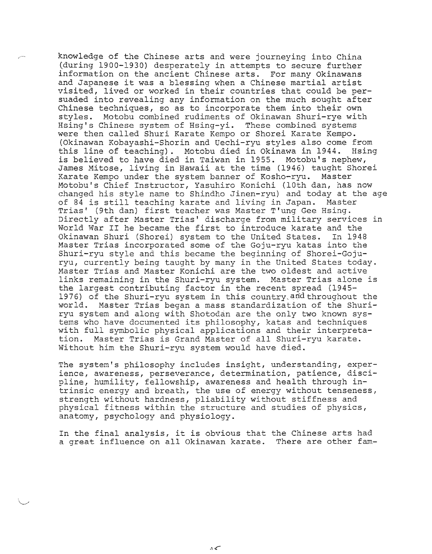knowledge of the Chinese arts and were journeying into China (during 1900-1930) desperately in attempts to secure further information on the ancient Chinese arts. For many Okinawans and Japanese it was <sup>a</sup> blessing when <sup>a</sup> Chinese martial artist visited, lived or worked in their countries that could be persuaded into revealing any information on the much sought after Chinese techniques, so as to incorporate them into their own styles. Motobu combined rudiments of Okinawan Shuri-rye with Hsing's Chinese system of Hsing-yi. These combined systems were then called Shuri Karate Kempo or Shorei Karate Kempo. (Okinawan Kobayashi-Shorin and Uechi-ryu styles also come from this line of teaching). Motobu died in Okinawa in 1944. Hsing is believed to have died in Taiwan in 1955. Motobu's nephew, James Mitose, living in Hawaii at the time (1946) taught Shorei Karate Kempo under the system banner of Kosho-ryu. Master Motobu's Chief Instructor, Yasuhiro Konichi (10th dan, has now changed his style name to Shindho Jinen-ryu) and today at the age of <sup>84</sup> is still teaching karate and living in Japan. Master Trias' (9th dan) first teacher was Master T'ung Gee Hsing. Directly after Master Trias' discharge from military services in World War II he became the first to introduce karate and the Okinawan Shuri (Shorei) system to the United States. In 1948 Okinawan Shuri (Shorei) system to the United States. Master Trias incorporated some of the Goju-ryu katas into the Shuri-ryu style and this became the beginning of Shorei-Gojuryu, currently being taught by many in the United States today. Master Trias and Master Konichi are the two oldest and active links remaining in the Shuri-ryu system. Master Trias alone is the largest contributing factor in the recent spread (1945- 1976) of the Shuri-ryu system in this country and throughout the world. Master Trias began a mass standardization of the Shuriryu system and along with Shotodan are the only two known systems who have documented its philosophy, katas and techniques with full sYmbolic physical applications and their interpretation. Master Trias is Grand Master of all Shuri-ryu karate. Without him the Shuri-ryu system would have died.

The system's philosophy includes insight, understanding, experience, awareness, perseverance, determination, patience, discipline, humility, fellowship, awareness and health through intrinsic energy and breath, the use of energy without tenseness, strength without hardness, pliability without stiffness and physical fitness within the structure and studies of physics, anatomy, psychology and physiology.

In the final analysis, it is obvious that the Chinese arts had <sup>a</sup> great influence on all Okinawan karate. There are other fam-